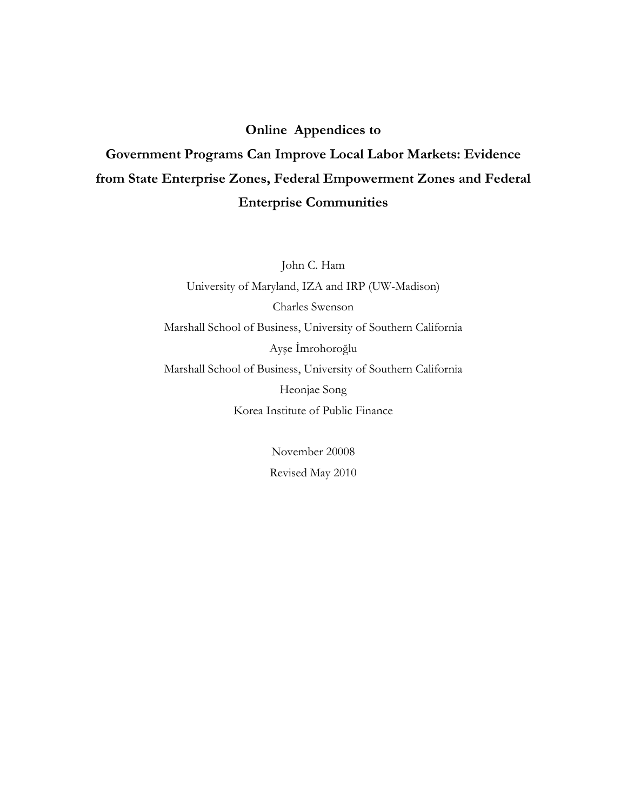## **Online Appendices to**

## Government Programs Can Improve Local Labor Markets: Evidence from State Enterprise Zones, Federal Empowerment Zones and Federal **Enterprise Communities**

John C. Ham University of Maryland, IZA and IRP (UW-Madison) Charles Swenson Marshall School of Business, University of Southern California Ayşe İmrohoroğlu Marshall School of Business, University of Southern California Heonjae Song Korea Institute of Public Finance

> November 20008 Revised May 2010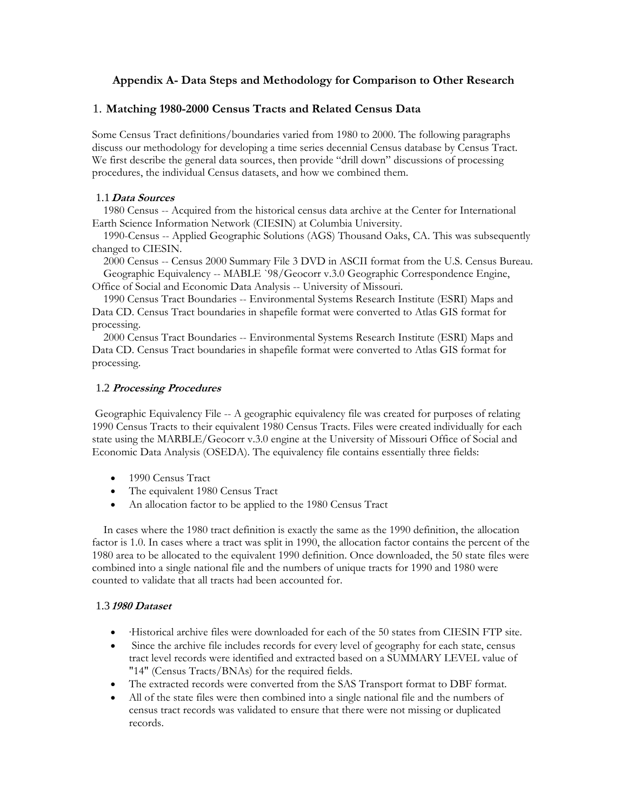## **Appendix A- Data Steps and Methodology for Comparison to Other Research**

## 1. **Matching 1980-2000 Census Tracts and Related Census Data**

Some Census Tract definitions/boundaries varied from 1980 to 2000. The following paragraphs discuss our methodology for developing a time series decennial Census database by Census Tract. We first describe the general data sources, then provide "drill down" discussions of processing procedures, the individual Census datasets, and how we combined them.

#### 1.1**Data Sources**

 1980 Census -- Acquired from the historical census data archive at the Center for International Earth Science Information Network (CIESIN) at Columbia University.

 1990-Census -- Applied Geographic Solutions (AGS) Thousand Oaks, CA. This was subsequently changed to CIESIN.

 2000 Census -- Census 2000 Summary File 3 DVD in ASCII format from the U.S. Census Bureau. Geographic Equivalency -- MABLE `98/Geocorr v.3.0 Geographic Correspondence Engine,

Office of Social and Economic Data Analysis -- University of Missouri.

 1990 Census Tract Boundaries -- Environmental Systems Research Institute (ESRI) Maps and Data CD. Census Tract boundaries in shapefile format were converted to Atlas GIS format for processing.

 2000 Census Tract Boundaries -- Environmental Systems Research Institute (ESRI) Maps and Data CD. Census Tract boundaries in shapefile format were converted to Atlas GIS format for processing.

#### 1.2 **Processing Procedures**

 Geographic Equivalency File -- A geographic equivalency file was created for purposes of relating 1990 Census Tracts to their equivalent 1980 Census Tracts. Files were created individually for each state using the MARBLE/Geocorr v.3.0 engine at the University of Missouri Office of Social and Economic Data Analysis (OSEDA). The equivalency file contains essentially three fields:

- 1990 Census Tract
- The equivalent 1980 Census Tract
- An allocation factor to be applied to the 1980 Census Tract

 In cases where the 1980 tract definition is exactly the same as the 1990 definition, the allocation factor is 1.0. In cases where a tract was split in 1990, the allocation factor contains the percent of the 1980 area to be allocated to the equivalent 1990 definition. Once downloaded, the 50 state files were combined into a single national file and the numbers of unique tracts for 1990 and 1980 were counted to validate that all tracts had been accounted for.

#### 1.3 **1980 Dataset**

- ·Historical archive files were downloaded for each of the 50 states from CIESIN FTP site.
- Since the archive file includes records for every level of geography for each state, census tract level records were identified and extracted based on a SUMMARY LEVEL value of "14" (Census Tracts/BNAs) for the required fields.
- The extracted records were converted from the SAS Transport format to DBF format.
- All of the state files were then combined into a single national file and the numbers of census tract records was validated to ensure that there were not missing or duplicated records.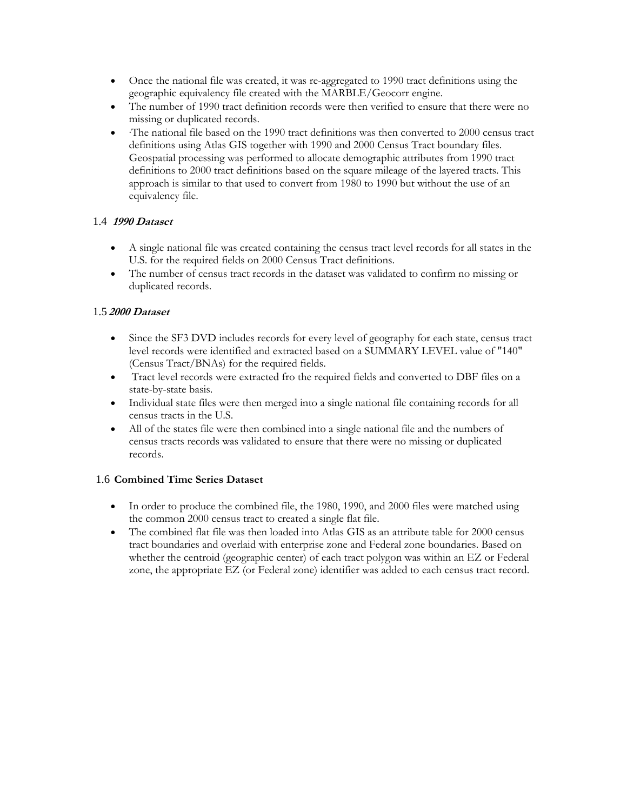- Once the national file was created, it was re-aggregated to 1990 tract definitions using the geographic equivalency file created with the MARBLE/Geocorr engine.
- The number of 1990 tract definition records were then verified to ensure that there were no missing or duplicated records.
- ·The national file based on the 1990 tract definitions was then converted to 2000 census tract definitions using Atlas GIS together with 1990 and 2000 Census Tract boundary files. Geospatial processing was performed to allocate demographic attributes from 1990 tract definitions to 2000 tract definitions based on the square mileage of the layered tracts. This approach is similar to that used to convert from 1980 to 1990 but without the use of an equivalency file.

## 1.4 **1990 Dataset**

- A single national file was created containing the census tract level records for all states in the U.S. for the required fields on 2000 Census Tract definitions.
- The number of census tract records in the dataset was validated to confirm no missing or duplicated records.

### 1.5 **2000 Dataset**

- Since the SF3 DVD includes records for every level of geography for each state, census tract level records were identified and extracted based on a SUMMARY LEVEL value of "140" (Census Tract/BNAs) for the required fields.
- Tract level records were extracted fro the required fields and converted to DBF files on a state-by-state basis.
- Individual state files were then merged into a single national file containing records for all census tracts in the U.S.
- All of the states file were then combined into a single national file and the numbers of census tracts records was validated to ensure that there were no missing or duplicated records.

#### 1.6 **Combined Time Series Dataset**

- In order to produce the combined file, the 1980, 1990, and 2000 files were matched using the common 2000 census tract to created a single flat file.
- The combined flat file was then loaded into Atlas GIS as an attribute table for 2000 census tract boundaries and overlaid with enterprise zone and Federal zone boundaries. Based on whether the centroid (geographic center) of each tract polygon was within an EZ or Federal zone, the appropriate EZ (or Federal zone) identifier was added to each census tract record.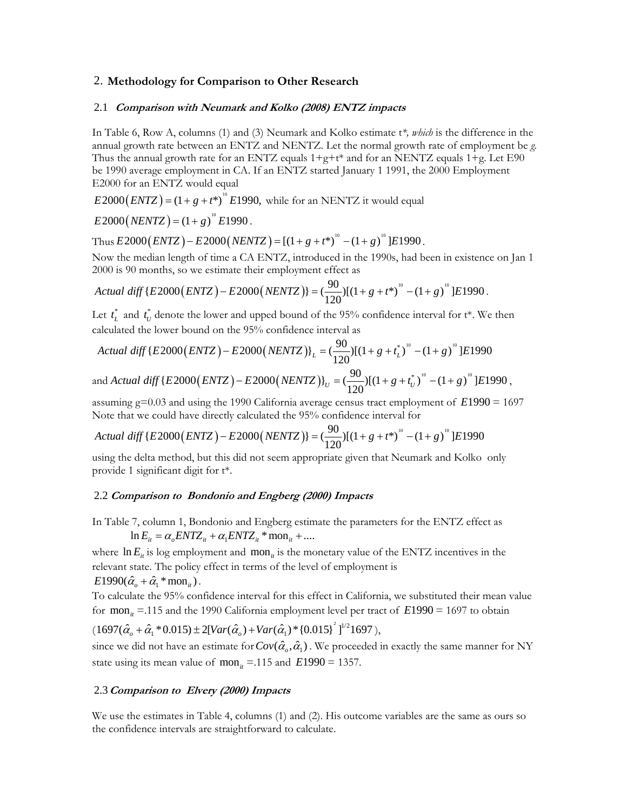#### 2. **Methodology for Comparison to Other Research**

#### 2.1 **Comparison with Neumark and Kolko (2008) ENTZ impacts**

In Table 6, Row A, columns (1) and (3) Neumark and Kolko estimate t*\*, which* is the difference in the annual growth rate between an ENTZ and NENTZ. Let the normal growth rate of employment be *g.*  Thus the annual growth rate for an ENTZ equals  $1+g+t^*$  and for an NENTZ equals  $1+g$ . Let E90 be 1990 average employment in CA. If an ENTZ started January 1 1991, the 2000 Employment E2000 for an ENTZ would equal

 $E2000(ENTZ) = (1 + g + t^*)^0 E1990$ , while for an NENTZ it would equal

$$
E2000(NENTZ) = (1+g)^{10} E1990.
$$

Thus  $E2000(ENTZ) - E2000( NENTZ) = [(1 + g + t^*)^0 - (1 + g)^0]E1990$ .

Now the median length of time a CA ENTZ, introduced in the 1990s, had been in existence on Jan 1 2000 is 90 months, so we estimate their employment effect as

Actual diff 
$$
\{E2000(ENTZ) - E2000(NENTZ)\} = \left(\frac{90}{120}\right) \left[(1+g+t^*)\right]^0 - (1+g)^{10}\right] E1990.
$$

Let  $t_L^*$  and  $t_U^*$  denote the lower and upped bound of the 95% confidence interval for  $t^*$ . We then calculated the lower bound on the 95% confidence interval as

Actual diff {E2000(*ENTZ*) – E2000(*NENTZ*)}<sub>L</sub> = 
$$
(\frac{90}{120})[(1+g+t_L^*)^{10}-(1+g)^{10}]E1990
$$

and *Actual diff*  $\{E2000 (ENTZ) - E2000 (NENTZ)\}_U = (\frac{90}{120})[(1 + g + t_U^*)^{10} - (1 + g)^{10}]E1990$ ,

assuming g=0.03 and using the 1990 California average census tract employment of *E*1990 = 1697 Note that we could have directly calculated the 95% confidence interval for

Actual diff 
$$
\{E2000(ENTZ) - E2000(NENTZ)\} = \left(\frac{90}{120}\right) \left[(1+g+t^*)^{10} - (1+g)\right]^0 \left[E1990\right]
$$

using the delta method, but this did not seem appropriate given that Neumark and Kolko only provide 1 significant digit for t\*.

#### 2.2 **Comparison to Bondonio and Engberg (2000) Impacts**

In Table 7, column 1, Bondonio and Engberg estimate the parameters for the ENTZ effect as

 $\ln E_{it} = \alpha_{i} ENTZ_{it} + \alpha_{i} ENTZ_{it} * \text{mon}_{it} + ...$ 

where  $\ln E_i$  is log employment and mon<sub>it</sub> is the monetary value of the ENTZ incentives in the relevant state. The policy effect in terms of the level of employment is  $E1990(\hat{\alpha}_{a} + \hat{\alpha}_{1} * \text{mon}_{i}).$ 

To calculate the 95% confidence interval for this effect in California, we substituted their mean value for  $\text{mon}_{it}$  =.115 and the 1990 California employment level per tract of  $E1990 = 1697$  to obtain

$$
(1697(\hat{\alpha}_o + \hat{\alpha}_1 * 0.015) \pm 2[Var(\hat{\alpha}_o) + Var(\hat{\alpha}_1) * \{0.015\}^2]^{1/2}1697),
$$

since we did not have an estimate for  $Cov(\hat{\alpha}_o, \hat{\alpha}_1)$ . We proceeded in exactly the same manner for NY state using its mean value of mon<sub>it</sub> = 115 and  $E1990 = 1357$ .

#### 2.3**Comparison to Elvery (2000) Impacts**

We use the estimates in Table 4, columns (1) and (2). His outcome variables are the same as ours so the confidence intervals are straightforward to calculate.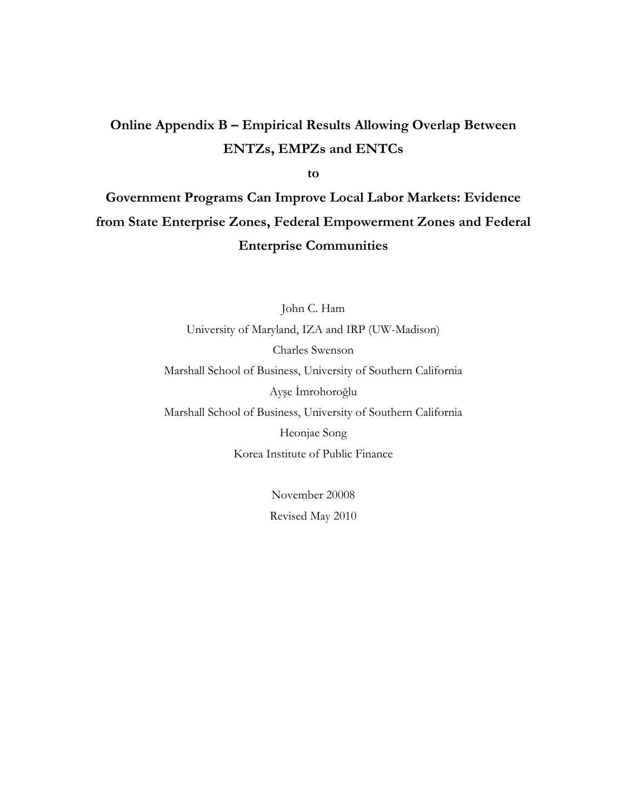## Online Appendix B - Empirical Results Allowing Overlap Between **ENTZs, EMPZs and ENTCs**

to

Government Programs Can Improve Local Labor Markets: Evidence from State Enterprise Zones, Federal Empowerment Zones and Federal **Enterprise Communities** 

> John C. Ham University of Maryland, IZA and IRP (UW-Madison) Charles Swenson Marshall School of Business, University of Southern California Ayşe İmrohoroğlu Marshall School of Business, University of Southern California Heonjae Song Korea Institute of Public Finance

> > November 20008 Revised May 2010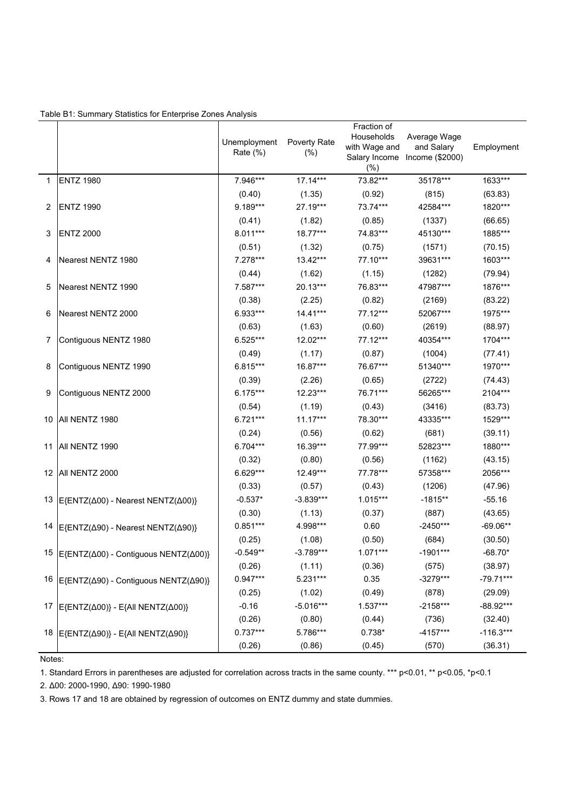| Table B1: Summary Statistics for Enterprise Zones Analysis |  |  |  |
|------------------------------------------------------------|--|--|--|
|                                                            |  |  |  |

|              |                                                                | Unemployment<br>Rate $(\%)$ | Poverty Rate<br>$(\% )$ | Fraction of<br>Households<br>with Wage and<br>(%) | Average Wage<br>and Salary<br>Salary Income Income (\$2000) | Employment  |
|--------------|----------------------------------------------------------------|-----------------------------|-------------------------|---------------------------------------------------|-------------------------------------------------------------|-------------|
| $\mathbf{1}$ | <b>ENTZ 1980</b>                                               | 7.946***                    | $17.14***$              | 73.82***                                          | 35178***                                                    | 1633***     |
|              |                                                                | (0.40)                      | (1.35)                  | (0.92)                                            | (815)                                                       | (63.83)     |
| 2            | <b>ENTZ 1990</b>                                               | 9.189***                    | 27.19***                | 73.74***                                          | 42584***                                                    | 1820***     |
|              |                                                                | (0.41)                      | (1.82)                  | (0.85)                                            | (1337)                                                      | (66.65)     |
| 3            | <b>ENTZ 2000</b>                                               | 8.011***                    | 18.77***                | 74.83***                                          | 45130***                                                    | 1885***     |
|              |                                                                | (0.51)                      | (1.32)                  | (0.75)                                            | (1571)                                                      | (70.15)     |
| 4            | Nearest NENTZ 1980                                             | 7.278***                    | 13.42***                | 77.10***                                          | 39631***                                                    | 1603***     |
|              |                                                                | (0.44)                      | (1.62)                  | (1.15)                                            | (1282)                                                      | (79.94)     |
| 5            | Nearest NENTZ 1990                                             | 7.587***                    | 20.13***                | 76.83***                                          | 47987***                                                    | 1876***     |
|              |                                                                | (0.38)                      | (2.25)                  | (0.82)                                            | (2169)                                                      | (83.22)     |
| 6            | Nearest NENTZ 2000                                             | 6.933***                    | 14.41***                | 77.12***                                          | 52067***                                                    | 1975***     |
|              |                                                                | (0.63)                      | (1.63)                  | (0.60)                                            | (2619)                                                      | (88.97)     |
| 7            | Contiguous NENTZ 1980                                          | 6.525***                    | 12.02***                | 77.12***                                          | 40354***                                                    | 1704***     |
|              |                                                                | (0.49)                      | (1.17)                  | (0.87)                                            | (1004)                                                      | (77.41)     |
| 8            | Contiguous NENTZ 1990                                          | 6.815***                    | 16.87***                | 76.67***                                          | 51340***                                                    | 1970***     |
|              |                                                                | (0.39)                      | (2.26)                  | (0.65)                                            | (2722)                                                      | (74.43)     |
| 9            | Contiguous NENTZ 2000                                          | $6.175***$                  | 12.23***                | 76.71***                                          | 56265***                                                    | 2104***     |
|              |                                                                | (0.54)                      | (1.19)                  | (0.43)                                            | (3416)                                                      | (83.73)     |
|              | 10 All NENTZ 1980                                              | $6.721***$                  | $11.17***$              | 78.30***                                          | 43335***                                                    | 1529***     |
|              |                                                                | (0.24)                      | (0.56)                  | (0.62)                                            | (681)                                                       | (39.11)     |
| 11           | All NENTZ 1990                                                 | 6.704***                    | 16.39***                | 77.99***                                          | 52823***                                                    | 1880***     |
|              |                                                                | (0.32)                      | (0.80)                  | (0.56)                                            | (1162)                                                      | (43.15)     |
|              | 12 All NENTZ 2000                                              | 6.629***                    | 12.49***                | 77.78***                                          | 57358***                                                    | 2056***     |
|              |                                                                | (0.33)                      | (0.57)                  | (0.43)                                            | (1206)                                                      | (47.96)     |
| 13           | E{ENTZ(Δ00) - Nearest NENTZ(Δ00)}                              | $-0.537*$                   | $-3.839***$             | 1.015***                                          | $-1815**$                                                   | $-55.16$    |
|              |                                                                | (0.30)                      | (1.13)                  | (0.37)                                            | (887)                                                       | (43.65)     |
| 14           | E{ENTZ( $\Delta$ 90) - Nearest NENTZ( $\Delta$ 90)}            | $0.851***$                  | 4.998***                | 0.60                                              | $-2450***$                                                  | $-69.06**$  |
|              |                                                                | (0.25)                      | (1.08)                  | (0.50)                                            | (684)                                                       | (30.50)     |
|              | 15   E{ENTZ(Δ00) - Contiguous NENTZ(Δ00)}                      | $-0.549**$                  | $-3.789***$             | $1.071***$                                        | -1901***                                                    | $-68.70*$   |
|              |                                                                | (0.26)                      | (1.11)                  | (0.36)                                            | (575)                                                       | (38.97)     |
|              | 16 E{ENTZ(Δ90) - Contiguous NENTZ(Δ90)}                        | $0.947***$                  | $5.231***$              | 0.35                                              | $-3279***$                                                  | $-79.71***$ |
|              |                                                                | (0.25)                      | (1.02)                  | (0.49)                                            | (878)                                                       | (29.09)     |
| 17           | $E\{ENTZ(\Delta 00)\}$ - E{All NENTZ( $\Delta 00$ )}           | $-0.16$                     | $-5.016***$             | $1.537***$                                        | $-2158***$                                                  | -88.92***   |
|              |                                                                | (0.26)                      | (0.80)                  | (0.44)                                            | (736)                                                       | (32.40)     |
| 18           | $E\{\text{ENTZ}(\Delta 90)\}-E\{\text{All NENTZ}(\Delta 90)\}$ | $0.737***$                  | 5.786***                | $0.738*$                                          | $-4157***$                                                  | $-116.3***$ |
|              |                                                                | (0.26)                      | (0.86)                  | (0.45)                                            | (570)                                                       | (36.31)     |

Notes:

1. Standard Errors in parentheses are adjusted for correlation across tracts in the same county. \*\*\* p<0.01, \*\* p<0.05, \*p<0.1

2. Δ00: 2000-1990, Δ90: 1990-1980

3. Rows 17 and 18 are obtained by regression of outcomes on ENTZ dummy and state dummies.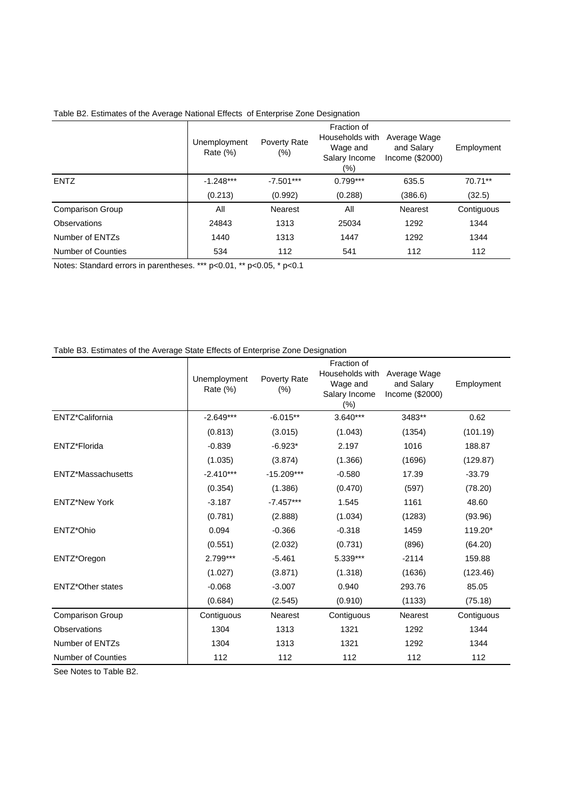|                    | Unemployment<br>Rate $(\%)$ | Poverty Rate<br>$(\% )$ | Fraction of<br>Households with<br>Wage and<br>Salary Income<br>$(\% )$ | Average Wage<br>and Salary<br>Income $(\$2000)$ | Employment |
|--------------------|-----------------------------|-------------------------|------------------------------------------------------------------------|-------------------------------------------------|------------|
| <b>ENTZ</b>        | $-1.248***$                 | $-7.501***$             | $0.799***$                                                             | 635.5                                           | 70.71**    |
|                    | (0.213)                     | (0.992)                 | (0.288)                                                                | (386.6)                                         | (32.5)     |
| Comparison Group   | All                         | <b>Nearest</b>          | All                                                                    | <b>Nearest</b>                                  | Contiguous |
| Observations       | 24843                       | 1313                    | 25034                                                                  | 1292                                            | 1344       |
| Number of ENTZs    | 1440                        | 1313                    | 1447                                                                   | 1292                                            | 1344       |
| Number of Counties | 534                         | 112                     | 541                                                                    | 112                                             | 112        |

Table B2. Estimates of the Average National Effects of Enterprise Zone Designation

Notes: Standard errors in parentheses. \*\*\* p<0.01, \*\* p<0.05, \* p<0.1

### Table B3. Estimates of the Average State Effects of Enterprise Zone Designation

|                           | Unemployment<br>Rate (%) | Poverty Rate<br>(%) | Fraction of<br>Households with<br>Wage and<br>Salary Income<br>$(\%)$ | Average Wage<br>and Salary<br>Income (\$2000) | Employment |
|---------------------------|--------------------------|---------------------|-----------------------------------------------------------------------|-----------------------------------------------|------------|
| ENTZ*California           | $-2.649***$              | $-6.015**$          | $3.640***$                                                            | 3483**                                        | 0.62       |
|                           | (0.813)                  | (3.015)             | (1.043)                                                               | (1354)                                        | (101.19)   |
| ENTZ*Florida              | $-0.839$                 | $-6.923*$           | 2.197                                                                 | 1016                                          | 188.87     |
|                           | (1.035)                  | (3.874)             | (1.366)                                                               | (1696)                                        | (129.87)   |
| ENTZ*Massachusetts        | $-2.410***$              | $-15.209***$        | $-0.580$                                                              | 17.39                                         | $-33.79$   |
|                           | (0.354)                  | (1.386)             | (0.470)                                                               | (597)                                         | (78.20)    |
| <b>ENTZ*New York</b>      | $-3.187$                 | $-7.457***$         | 1.545                                                                 | 1161                                          | 48.60      |
|                           | (0.781)                  | (2.888)             | (1.034)                                                               | (1283)                                        | (93.96)    |
| ENTZ*Ohio                 | 0.094                    | $-0.366$            | $-0.318$                                                              | 1459                                          | 119.20*    |
|                           | (0.551)                  | (2.032)             | (0.731)                                                               | (896)                                         | (64.20)    |
| ENTZ*Oregon               | 2.799***                 | $-5.461$            | 5.339***                                                              | $-2114$                                       | 159.88     |
|                           | (1.027)                  | (3.871)             | (1.318)                                                               | (1636)                                        | (123.46)   |
| <b>ENTZ*Other states</b>  | $-0.068$                 | $-3.007$            | 0.940                                                                 | 293.76                                        | 85.05      |
|                           | (0.684)                  | (2.545)             | (0.910)                                                               | (1133)                                        | (75.18)    |
| <b>Comparison Group</b>   | Contiguous               | <b>Nearest</b>      | Contiguous                                                            | <b>Nearest</b>                                | Contiguous |
| Observations              | 1304                     | 1313                | 1321                                                                  | 1292                                          | 1344       |
| Number of ENTZs           | 1304                     | 1313                | 1321                                                                  | 1292                                          | 1344       |
| <b>Number of Counties</b> | 112                      | 112                 | 112                                                                   | 112                                           | 112        |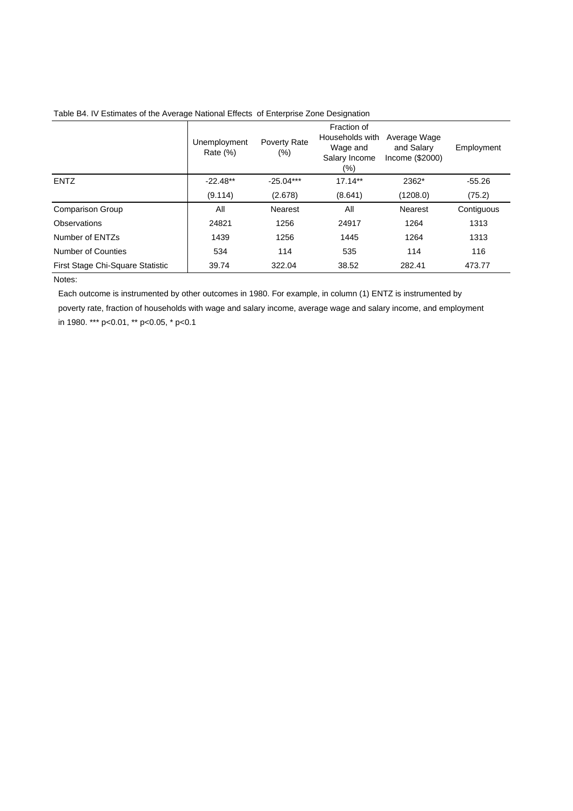|                                  | Unemployment<br>Rate $(\%)$ | Poverty Rate<br>$(\%)$ | Fraction of<br>Households with<br>Wage and<br>Salary Income<br>(%) | Average Wage<br>and Salary<br>Income (\$2000) | Employment |
|----------------------------------|-----------------------------|------------------------|--------------------------------------------------------------------|-----------------------------------------------|------------|
| <b>ENTZ</b>                      | $-22.48**$                  | $-25.04***$            | $17.14**$                                                          | 2362*                                         | $-55.26$   |
|                                  | (9.114)                     | (2.678)                | (8.641)                                                            | (1208.0)                                      | (75.2)     |
| <b>Comparison Group</b>          | All                         | Nearest                | All                                                                | Nearest                                       | Contiguous |
| Observations                     | 24821                       | 1256                   | 24917                                                              | 1264                                          | 1313       |
| Number of ENTZs                  | 1439                        | 1256                   | 1445                                                               | 1264                                          | 1313       |
| Number of Counties               | 534                         | 114                    | 535                                                                | 114                                           | 116        |
| First Stage Chi-Square Statistic | 39.74                       | 322.04                 | 38.52                                                              | 282.41                                        | 473.77     |

Table B4. IV Estimates of the Average National Effects of Enterprise Zone Designation

Notes:

 Each outcome is instrumented by other outcomes in 1980. For example, in column (1) ENTZ is instrumented by poverty rate, fraction of households with wage and salary income, average wage and salary income, and employment in 1980. \*\*\* p<0.01, \*\* p<0.05, \* p<0.1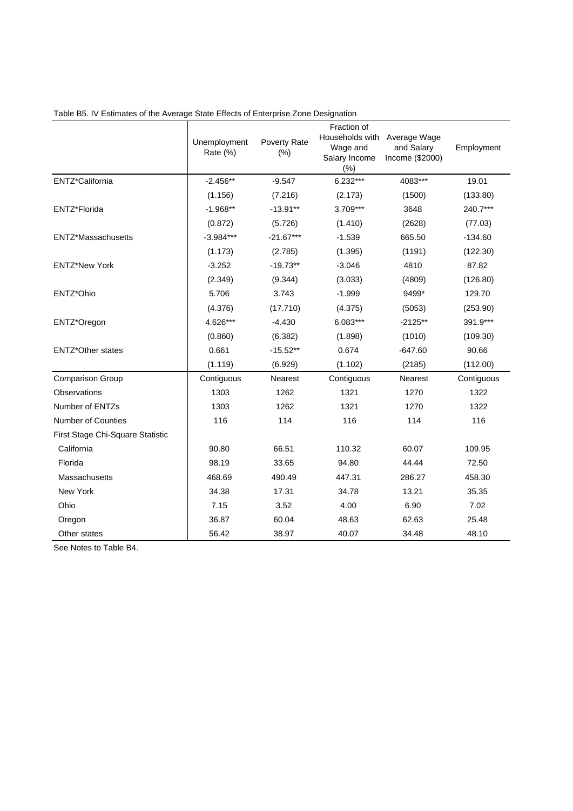|                                  | Unemployment<br>Rate (%) | Poverty Rate<br>(%) | Fraction of<br>Households with Average Wage<br>Wage and<br>Salary Income<br>(%) | and Salary<br>Income (\$2000) | Employment |
|----------------------------------|--------------------------|---------------------|---------------------------------------------------------------------------------|-------------------------------|------------|
| ENTZ*California                  | $-2.456**$               | $-9.547$            | $6.232***$                                                                      | 4083***                       | 19.01      |
|                                  | (1.156)                  | (7.216)             | (2.173)                                                                         | (1500)                        | (133.80)   |
| ENTZ*Florida                     | $-1.968**$               | $-13.91**$          | $3.709***$                                                                      | 3648                          | 240.7***   |
|                                  | (0.872)                  | (5.726)             | (1.410)                                                                         | (2628)                        | (77.03)    |
| ENTZ*Massachusetts               | $-3.984***$              | $-21.67***$         | $-1.539$                                                                        | 665.50                        | $-134.60$  |
|                                  | (1.173)                  | (2.785)             | (1.395)                                                                         | (1191)                        | (122.30)   |
| <b>ENTZ*New York</b>             | $-3.252$                 | $-19.73**$          | $-3.046$                                                                        | 4810                          | 87.82      |
|                                  | (2.349)                  | (9.344)             | (3.033)                                                                         | (4809)                        | (126.80)   |
| ENTZ*Ohio                        | 5.706                    | 3.743               | $-1.999$                                                                        | 9499*                         | 129.70     |
|                                  | (4.376)                  | (17.710)            | (4.375)                                                                         | (5053)                        | (253.90)   |
| ENTZ*Oregon                      | 4.626***                 | $-4.430$            | $6.083***$                                                                      | $-2125**$                     | 391.9***   |
|                                  | (0.860)                  | (6.382)             | (1.898)                                                                         | (1010)                        | (109.30)   |
| <b>ENTZ*Other states</b>         | 0.661                    | $-15.52**$          | 0.674                                                                           | $-647.60$                     | 90.66      |
|                                  | (1.119)                  | (6.929)             | (1.102)                                                                         | (2185)                        | (112.00)   |
| Comparison Group                 | Contiguous               | Nearest             | Contiguous                                                                      | Nearest                       | Contiguous |
| Observations                     | 1303                     | 1262                | 1321                                                                            | 1270                          | 1322       |
| Number of ENTZs                  | 1303                     | 1262                | 1321                                                                            | 1270                          | 1322       |
| <b>Number of Counties</b>        | 116                      | 114                 | 116                                                                             | 114                           | 116        |
| First Stage Chi-Square Statistic |                          |                     |                                                                                 |                               |            |
| California                       | 90.80                    | 66.51               | 110.32                                                                          | 60.07                         | 109.95     |
| Florida                          | 98.19                    | 33.65               | 94.80                                                                           | 44.44                         | 72.50      |
| Massachusetts                    | 468.69                   | 490.49              | 447.31                                                                          | 286.27                        | 458.30     |
| New York                         | 34.38                    | 17.31               | 34.78                                                                           | 13.21                         | 35.35      |
| Ohio                             | 7.15                     | 3.52                | 4.00                                                                            | 6.90                          | 7.02       |
| Oregon                           | 36.87                    | 60.04               | 48.63                                                                           | 62.63                         | 25.48      |
| Other states                     | 56.42                    | 38.97               | 40.07                                                                           | 34.48                         | 48.10      |

Table B5. IV Estimates of the Average State Effects of Enterprise Zone Designation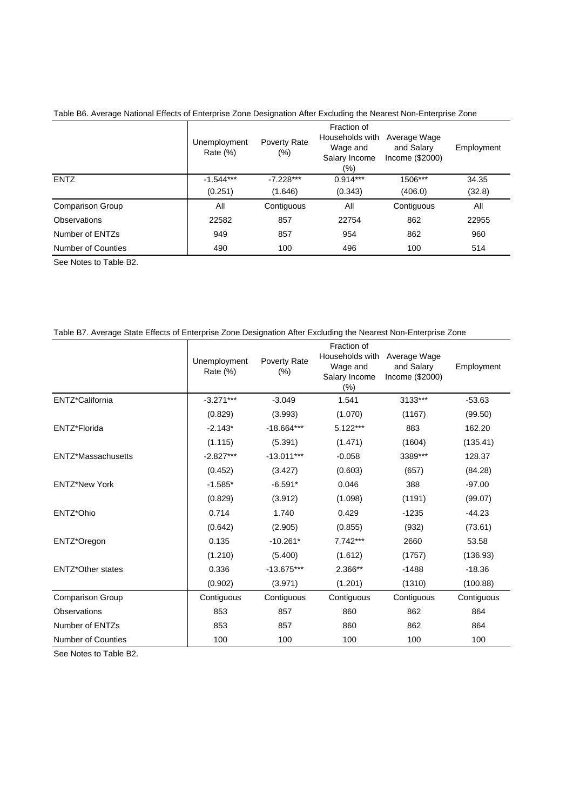|                         | Unemployment<br>Rate $(\%)$ | Poverty Rate<br>$(\% )$ | Fraction of<br>Households with<br>Wage and<br>Salary Income<br>$(\% )$ | Average Wage<br>and Salary<br>Income (\$2000) | Employment |
|-------------------------|-----------------------------|-------------------------|------------------------------------------------------------------------|-----------------------------------------------|------------|
| <b>ENTZ</b>             | $-1.544***$                 | $-7.228***$             | $0.914***$                                                             | 1506***                                       | 34.35      |
|                         | (0.251)                     | (1.646)                 | (0.343)                                                                | (406.0)                                       | (32.8)     |
| <b>Comparison Group</b> | All                         | Contiguous              | All                                                                    | Contiguous                                    | All        |
| Observations            | 22582                       | 857                     | 22754                                                                  | 862                                           | 22955      |
| Number of ENTZs         | 949                         | 857                     | 954                                                                    | 862                                           | 960        |
| Number of Counties      | 490                         | 100                     | 496                                                                    | 100                                           | 514        |

Table B6. Average National Effects of Enterprise Zone Designation After Excluding the Nearest Non-Enterprise Zone

See Notes to Table B2.

| Table B7. Average State Effects of Enterprise Zone Designation After Excluding the Nearest Non-Enterprise Zone |  |  |
|----------------------------------------------------------------------------------------------------------------|--|--|
|                                                                                                                |  |  |

|                           | Unemployment<br>Rate $(\%)$ | Poverty Rate<br>$(\% )$ | Fraction of<br>Households with<br>Wage and<br>Salary Income<br>(%) | Average Wage<br>and Salary<br>Income (\$2000) | Employment |
|---------------------------|-----------------------------|-------------------------|--------------------------------------------------------------------|-----------------------------------------------|------------|
| ENTZ*California           | $-3.271***$                 | $-3.049$                | 1.541                                                              | 3133***                                       | $-53.63$   |
|                           | (0.829)                     | (3.993)                 | (1.070)                                                            | (1167)                                        | (99.50)    |
| ENTZ*Florida              | $-2.143*$                   | $-18.664***$            | $5.122***$                                                         | 883                                           | 162.20     |
|                           | (1.115)                     | (5.391)                 | (1.471)                                                            | (1604)                                        | (135.41)   |
| ENTZ*Massachusetts        | $-2.827***$                 | $-13.011***$            | $-0.058$                                                           | 3389***                                       | 128.37     |
|                           | (0.452)                     | (3.427)                 | (0.603)                                                            | (657)                                         | (84.28)    |
| <b>ENTZ*New York</b>      | $-1.585*$                   | $-6.591*$               | 0.046                                                              | 388                                           | $-97.00$   |
|                           | (0.829)                     | (3.912)                 | (1.098)                                                            | (1191)                                        | (99.07)    |
| ENTZ*Ohio                 | 0.714                       | 1.740                   | 0.429                                                              | $-1235$                                       | $-44.23$   |
|                           | (0.642)                     | (2.905)                 | (0.855)                                                            | (932)                                         | (73.61)    |
| ENTZ*Oregon               | 0.135                       | $-10.261*$              | $7.742***$                                                         | 2660                                          | 53.58      |
|                           | (1.210)                     | (5.400)                 | (1.612)                                                            | (1757)                                        | (136.93)   |
| <b>ENTZ*Other states</b>  | 0.336                       | $-13.675***$            | 2.366**                                                            | $-1488$                                       | $-18.36$   |
|                           | (0.902)                     | (3.971)                 | (1.201)                                                            | (1310)                                        | (100.88)   |
| <b>Comparison Group</b>   | Contiguous                  | Contiguous              | Contiguous                                                         | Contiguous                                    | Contiguous |
| Observations              | 853                         | 857                     | 860                                                                | 862                                           | 864        |
| Number of ENTZs           | 853                         | 857                     | 860                                                                | 862                                           | 864        |
| <b>Number of Counties</b> | 100                         | 100                     | 100                                                                | 100                                           | 100        |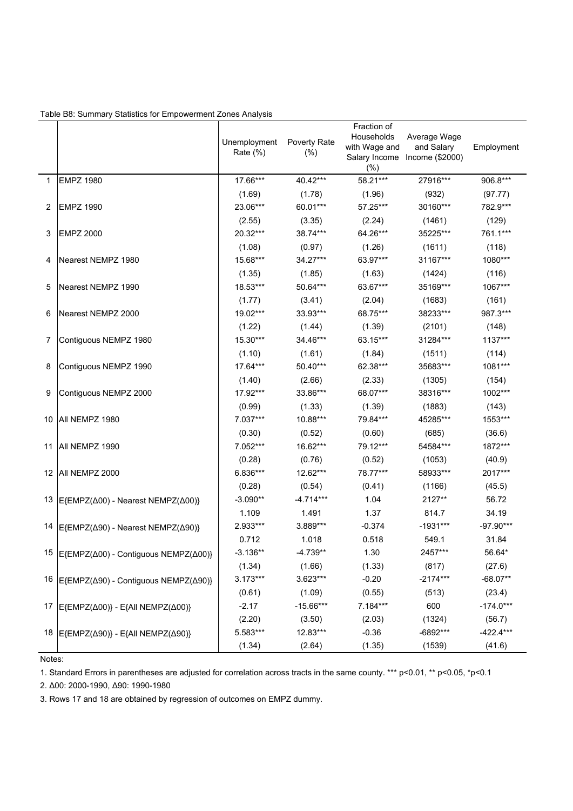| Table B8: Summary Statistics for Empowerment Zones Analysis |  |  |
|-------------------------------------------------------------|--|--|

|    |                                                         | Unemployment<br>Rate (%) | Poverty Rate<br>$(\% )$ | Fraction of<br>Households<br>with Wage and<br>(%) | Average Wage<br>and Salary<br>Salary Income Income (\$2000) | Employment  |
|----|---------------------------------------------------------|--------------------------|-------------------------|---------------------------------------------------|-------------------------------------------------------------|-------------|
| 1  | <b>EMPZ 1980</b>                                        | 17.66***                 | 40.42***                | 58.21***                                          | 27916***                                                    | 906.8***    |
|    |                                                         | (1.69)                   | (1.78)                  | (1.96)                                            | (932)                                                       | (97.77)     |
| 2  | <b>EMPZ 1990</b>                                        | 23.06***                 | 60.01***                | 57.25***                                          | 30160***                                                    | 782.9***    |
|    |                                                         | (2.55)                   | (3.35)                  | (2.24)                                            | (1461)                                                      | (129)       |
| 3  | <b>EMPZ 2000</b>                                        | 20.32***                 | 38.74***                | 64.26***                                          | 35225***                                                    | 761.1***    |
|    |                                                         | (1.08)                   | (0.97)                  | (1.26)                                            | (1611)                                                      | (118)       |
| 4  | Nearest NEMPZ 1980                                      | 15.68***                 | 34.27***                | 63.97***                                          | 31167***                                                    | 1080***     |
|    |                                                         | (1.35)                   | (1.85)                  | (1.63)                                            | (1424)                                                      | (116)       |
| 5  | Nearest NEMPZ 1990                                      | 18.53***                 | 50.64***                | 63.67***                                          | 35169***                                                    | 1067***     |
|    |                                                         | (1.77)                   | (3.41)                  | (2.04)                                            | (1683)                                                      | (161)       |
| 6  | Nearest NEMPZ 2000                                      | 19.02***                 | 33.93***                | 68.75***                                          | 38233***                                                    | 987.3***    |
|    |                                                         | (1.22)                   | (1.44)                  | (1.39)                                            | (2101)                                                      | (148)       |
| 7  | Contiguous NEMPZ 1980                                   | 15.30***                 | 34.46***                | 63.15***                                          | 31284***                                                    | 1137***     |
|    |                                                         | (1.10)                   | (1.61)                  | (1.84)                                            | (1511)                                                      | (114)       |
| 8  | Contiguous NEMPZ 1990                                   | 17.64***                 | 50.40***                | 62.38***                                          | 35683***                                                    | 1081***     |
|    |                                                         | (1.40)                   | (2.66)                  | (2.33)                                            | (1305)                                                      | (154)       |
| 9  | Contiguous NEMPZ 2000                                   | 17.92***                 | 33.86***                | 68.07***                                          | 38316***                                                    | 1002***     |
|    |                                                         | (0.99)                   | (1.33)                  | (1.39)                                            | (1883)                                                      | (143)       |
|    | 10 All NEMPZ 1980                                       | 7.037***                 | 10.88***                | 79.84***                                          | 45285***                                                    | 1553***     |
|    |                                                         | (0.30)                   | (0.52)                  | (0.60)                                            | (685)                                                       | (36.6)      |
| 11 | All NEMPZ 1990                                          | 7.052***                 | 16.62***                | 79.12***                                          | 54584***                                                    | 1872***     |
|    |                                                         | (0.28)                   | (0.76)                  | (0.52)                                            | (1053)                                                      | (40.9)      |
|    | 12 All NEMPZ 2000                                       | 6.836***                 | 12.62***                | 78.77***                                          | 58933***                                                    | 2017***     |
|    |                                                         | (0.28)                   | (0.54)                  | (0.41)                                            | (1166)                                                      | (45.5)      |
|    | 13 E{EMPZ(Δ00) - Nearest NEMPZ(Δ00)}                    | $-3.090**$               | $-4.714***$             | 1.04                                              | 2127**                                                      | 56.72       |
|    |                                                         | 1.109                    | 1.491                   | 1.37                                              | 814.7                                                       | 34.19       |
|    | 14 E{EMPZ(Δ90) - Nearest NEMPZ(Δ90)}                    | 2.933***                 | 3.889***                | $-0.374$                                          | $-1931***$                                                  | $-97.90***$ |
|    |                                                         | 0.712                    | 1.018                   | 0.518                                             | 549.1                                                       | 31.84       |
|    | 15   E{EMPZ(Δ00) - Contiguous NEMPZ(Δ00)}               | $-3.136**$               | $-4.739**$              | 1.30                                              | 2457***                                                     | 56.64*      |
|    |                                                         | (1.34)                   | (1.66)                  | (1.33)                                            | (817)                                                       | (27.6)      |
|    | 16 E{EMPZ(Δ90) - Contiguous NEMPZ(Δ90)}                 | $3.173***$               | 3.623***                | $-0.20$                                           | $-2174***$                                                  | $-68.07**$  |
|    |                                                         | (0.61)                   | (1.09)                  | (0.55)                                            | (513)                                                       | (23.4)      |
|    | 17 E{EMPZ(Δ00)} - E{All NEMPZ(Δ00)}                     | $-2.17$                  | $-15.66***$             | 7.184***                                          | 600                                                         | $-174.0***$ |
|    |                                                         | (2.20)                   | (3.50)                  | (2.03)                                            | (1324)                                                      | (56.7)      |
|    | 18   E{EMPZ( $\Delta$ 90)} - E{All NEMPZ( $\Delta$ 90)} | 5.583***                 | 12.83***                | $-0.36$                                           | $-6892***$                                                  | $-422.4***$ |
|    |                                                         | (1.34)                   | (2.64)                  | (1.35)                                            | (1539)                                                      | (41.6)      |

Notes:

1. Standard Errors in parentheses are adjusted for correlation across tracts in the same county. \*\*\* p<0.01, \*\* p<0.05, \*p<0.1

2. Δ00: 2000-1990, Δ90: 1990-1980

3. Rows 17 and 18 are obtained by regression of outcomes on EMPZ dummy.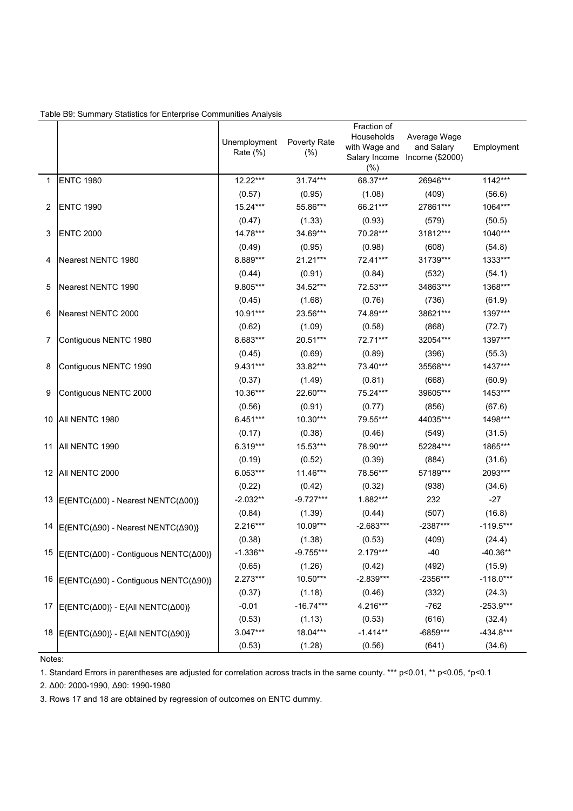| Table B9: Summary Statistics for Enterprise Communities Analysis |  |  |
|------------------------------------------------------------------|--|--|
|                                                                  |  |  |

|    |                                                                | Unemployment<br>Rate $(\%)$ | Poverty Rate<br>(% ) | Fraction of<br>Households<br>with Wage and<br>(% ) | Average Wage<br>and Salary<br>Salary Income Income (\$2000) | Employment  |
|----|----------------------------------------------------------------|-----------------------------|----------------------|----------------------------------------------------|-------------------------------------------------------------|-------------|
| 1  | <b>ENTC 1980</b>                                               | 12.22***                    | $31.74***$           | 68.37***                                           | 26946***                                                    | 1142***     |
|    |                                                                | (0.57)                      | (0.95)               | (1.08)                                             | (409)                                                       | (56.6)      |
| 2  | <b>ENTC 1990</b>                                               | $15.24***$                  | 55.86***             | 66.21***                                           | 27861***                                                    | 1064***     |
|    |                                                                | (0.47)                      | (1.33)               | (0.93)                                             | (579)                                                       | (50.5)      |
| 3  | <b>ENTC 2000</b>                                               | 14.78***                    | 34.69***             | 70.28***                                           | 31812***                                                    | 1040***     |
|    |                                                                | (0.49)                      | (0.95)               | (0.98)                                             | (608)                                                       | (54.8)      |
| 4  | Nearest NENTC 1980                                             | 8.889***                    | $21.21***$           | 72.41***                                           | 31739***                                                    | 1333***     |
|    |                                                                | (0.44)                      | (0.91)               | (0.84)                                             | (532)                                                       | (54.1)      |
| 5  | Nearest NENTC 1990                                             | 9.805***                    | 34.52***             | 72.53***                                           | 34863***                                                    | 1368***     |
|    |                                                                | (0.45)                      | (1.68)               | (0.76)                                             | (736)                                                       | (61.9)      |
| 6  | Nearest NENTC 2000                                             | $10.91***$                  | 23.56***             | 74.89***                                           | 38621***                                                    | 1397***     |
|    |                                                                | (0.62)                      | (1.09)               | (0.58)                                             | (868)                                                       | (72.7)      |
| 7  | Contiguous NENTC 1980                                          | 8.683***                    | 20.51***             | 72.71***                                           | 32054***                                                    | 1397***     |
|    |                                                                | (0.45)                      | (0.69)               | (0.89)                                             | (396)                                                       | (55.3)      |
| 8  | Contiguous NENTC 1990                                          | $9.431***$                  | 33.82***             | 73.40***                                           | 35568***                                                    | 1437***     |
|    |                                                                | (0.37)                      | (1.49)               | (0.81)                                             | (668)                                                       | (60.9)      |
| 9  | Contiguous NENTC 2000                                          | 10.36***                    | 22.60***             | 75.24***                                           | 39605***                                                    | 1453***     |
|    |                                                                | (0.56)                      | (0.91)               | (0.77)                                             | (856)                                                       | (67.6)      |
|    | 10 All NENTC 1980                                              | $6.451***$                  | 10.30***             | 79.55***                                           | 44035***                                                    | 1498***     |
|    |                                                                | (0.17)                      | (0.38)               | (0.46)                                             | (549)                                                       | (31.5)      |
| 11 | <b>JAILNENTC 1990</b>                                          | $6.319***$                  | 15.53***             | 78.90***                                           | 52284***                                                    | 1865***     |
|    |                                                                | (0.19)                      | (0.52)               | (0.39)                                             | (884)                                                       | (31.6)      |
|    | 12 All NENTC 2000                                              | $6.053***$                  | 11.46***             | 78.56***                                           | 57189***                                                    | 2093***     |
|    |                                                                | (0.22)                      | (0.42)               | (0.32)                                             | (938)                                                       | (34.6)      |
| 13 | E{ENTC(Δ00) - Nearest NENTC(Δ00)}                              | $-2.032**$                  | $-9.727***$          | 1.882***                                           | 232                                                         | $-27$       |
|    |                                                                | (0.84)                      | (1.39)               | (0.44)                                             | (507)                                                       | (16.8)      |
| 14 | E{ENTC(Δ90) - Nearest NENTC(Δ90)}                              | $2.216***$                  | 10.09***             | $-2.683***$                                        | $-2387***$                                                  | $-119.5***$ |
|    |                                                                | (0.38)                      | (1.38)               | (0.53)                                             | (409)                                                       | (24.4)      |
|    | <sup>15</sup> E{ENTC(Δ00) - Contiguous NENTC(Δ00)}             | $-1.336**$                  | $-9.755***$          | 2.179***                                           | $-40$                                                       | $-40.36**$  |
|    |                                                                | (0.65)                      | (1.26)               | (0.42)                                             | (492)                                                       | (15.9)      |
|    | 16 E{ENTC(Δ90) - Contiguous NENTC(Δ90)}                        | $2.273***$                  | 10.50***             | $-2.839***$                                        | $-2356***$                                                  | $-118.0***$ |
|    |                                                                | (0.37)                      | (1.18)               | (0.46)                                             | (332)                                                       | (24.3)      |
| 17 | $E\{\text{ENTC}(\Delta 00)\}-E\{\text{All NENTC}(\Delta 00)\}$ | $-0.01$                     | $-16.74***$          | 4.216***                                           | $-762$                                                      | $-253.9***$ |
|    |                                                                | (0.53)                      | (1.13)               | (0.53)                                             | (616)                                                       | (32.4)      |
| 18 | $E\{ENTC(\Delta 90)\}$ - E{All NENTC( $\Delta 90$ )}           | $3.047***$                  | 18.04***             | $-1.414**$                                         | -6859***                                                    | $-434.8***$ |
|    |                                                                | (0.53)                      | (1.28)               | (0.56)                                             | (641)                                                       | (34.6)      |

Notes:

1. Standard Errors in parentheses are adjusted for correlation across tracts in the same county. \*\*\* p<0.01, \*\* p<0.05, \*p<0.1

2. Δ00: 2000-1990, Δ90: 1990-1980

3. Rows 17 and 18 are obtained by regression of outcomes on ENTC dummy.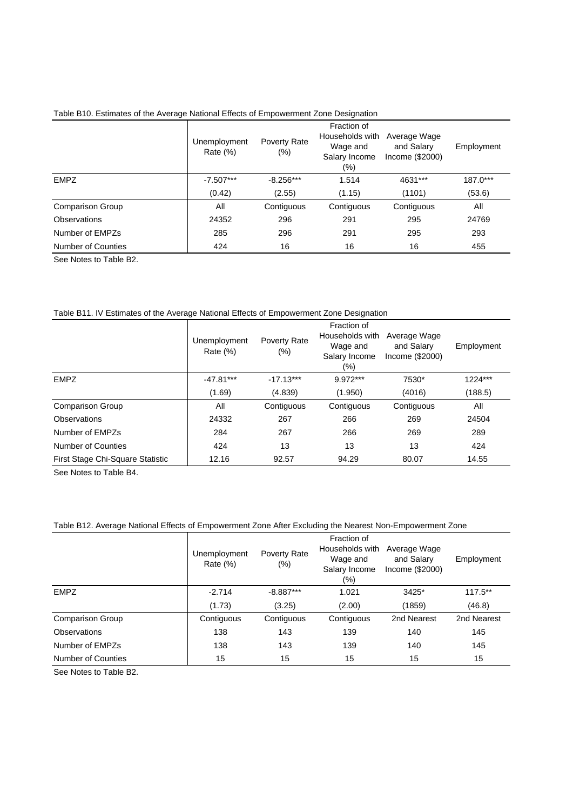|  |  | Table B10. Estimates of the Average National Effects of Empowerment Zone Designation |  |
|--|--|--------------------------------------------------------------------------------------|--|
|  |  |                                                                                      |  |
|  |  |                                                                                      |  |

|                         | Unemployment<br>Rate $(\%)$ | Poverty Rate<br>$(\% )$ | Fraction of<br>Households with<br>Wage and<br>Salary Income<br>(%) | Average Wage<br>and Salary<br>Income (\$2000) | Employment |
|-------------------------|-----------------------------|-------------------------|--------------------------------------------------------------------|-----------------------------------------------|------------|
| <b>EMPZ</b>             | $-7.507***$                 | $-8.256***$             | 1.514                                                              | 4631***                                       | 187.0***   |
|                         | (0.42)                      | (2.55)                  | (1.15)                                                             | (1101)                                        | (53.6)     |
| <b>Comparison Group</b> | All                         | Contiguous              | Contiguous                                                         | Contiguous                                    | All        |
| Observations            | 24352                       | 296                     | 291                                                                | 295                                           | 24769      |
| Number of FMP7s         | 285                         | 296                     | 291                                                                | 295                                           | 293        |
| Number of Counties      | 424                         | 16                      | 16                                                                 | 16                                            | 455        |

See Notes to Table B2.

#### Table B11. IV Estimates of the Average National Effects of Empowerment Zone Designation

|                                  | Unemployment<br>Rate $(\%)$ | Poverty Rate<br>$(\%)$ | Fraction of<br>Households with<br>Wage and<br>Salary Income<br>(%) | Average Wage<br>and Salary<br>Income $(\$2000)$ | Employment |
|----------------------------------|-----------------------------|------------------------|--------------------------------------------------------------------|-------------------------------------------------|------------|
| <b>EMPZ</b>                      | $-47.81***$                 | $-17.13***$            | $9.972***$                                                         | 7530*                                           | 1224***    |
|                                  | (1.69)                      | (4.839)                | (1.950)                                                            | (4016)                                          | (188.5)    |
| <b>Comparison Group</b>          | All                         | Contiguous             | Contiguous                                                         | Contiguous                                      | All        |
| Observations                     | 24332                       | 267                    | 266                                                                | 269                                             | 24504      |
| Number of EMPZs                  | 284                         | 267                    | 266                                                                | 269                                             | 289        |
| Number of Counties               | 424                         | 13                     | 13                                                                 | 13                                              | 424        |
| First Stage Chi-Square Statistic | 12.16                       | 92.57                  | 94.29                                                              | 80.07                                           | 14.55      |

See Notes to Table B4.

#### Table B12. Average National Effects of Empowerment Zone After Excluding the Nearest Non-Empowerment Zone

|                           | Unemployment<br>Rate $(\%)$ | Poverty Rate<br>$(\% )$ | Fraction of<br>Households with<br>Wage and<br>Salary Income<br>$(\% )$ | Average Wage<br>and Salary<br>Income (\$2000) | Employment  |
|---------------------------|-----------------------------|-------------------------|------------------------------------------------------------------------|-----------------------------------------------|-------------|
| <b>EMPZ</b>               | $-2.714$                    | $-8.887***$             | 1.021                                                                  | $3425*$                                       | $117.5**$   |
|                           | (1.73)                      | (3.25)                  | (2.00)                                                                 | (1859)                                        | (46.8)      |
| <b>Comparison Group</b>   | Contiguous                  | Contiguous              | Contiguous                                                             | 2nd Nearest                                   | 2nd Nearest |
| Observations              | 138                         | 143                     | 139                                                                    | 140                                           | 145         |
| Number of EMPZs           | 138                         | 143                     | 139                                                                    | 140                                           | 145         |
| <b>Number of Counties</b> | 15                          | 15                      | 15                                                                     | 15                                            | 15          |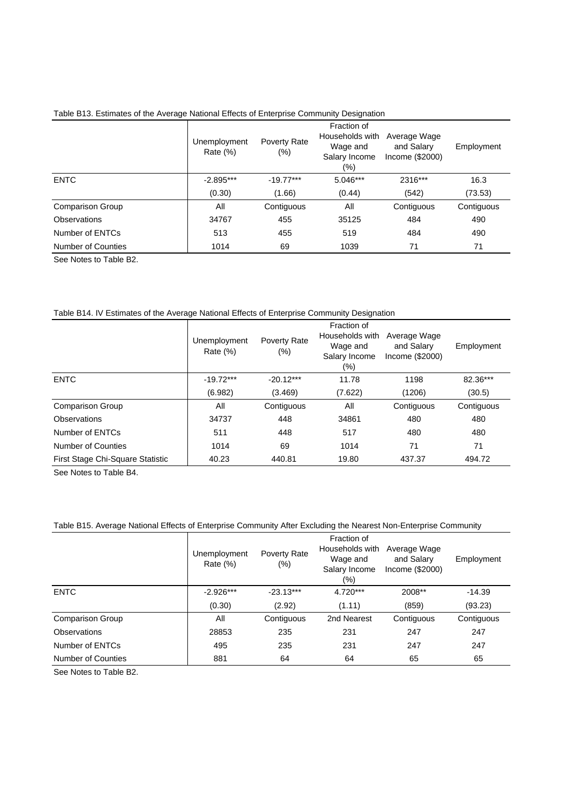| Table B13. Estimates of the Average National Effects of Enterprise Community Designation |  |  |
|------------------------------------------------------------------------------------------|--|--|
|                                                                                          |  |  |

|                         | Unemployment<br>Rate $(\%)$ | Poverty Rate<br>$(\%)$ | Fraction of<br>Households with<br>Wage and<br>Salary Income<br>(%) | Average Wage<br>and Salary<br>Income (\$2000) | Employment |
|-------------------------|-----------------------------|------------------------|--------------------------------------------------------------------|-----------------------------------------------|------------|
| <b>ENTC</b>             | $-2.895***$                 | $-19.77***$            | 5.046***                                                           | 2316***                                       | 16.3       |
|                         | (0.30)                      | (1.66)                 | (0.44)                                                             | (542)                                         | (73.53)    |
| <b>Comparison Group</b> | All                         | Contiguous             | All                                                                | Contiguous                                    | Contiguous |
| Observations            | 34767                       | 455                    | 35125                                                              | 484                                           | 490        |
| Number of ENTCs         | 513                         | 455                    | 519                                                                | 484                                           | 490        |
| Number of Counties      | 1014                        | 69                     | 1039                                                               | 71                                            | 71         |

See Notes to Table B2.

#### Table B14. IV Estimates of the Average National Effects of Enterprise Community Designation

|                                  | Unemployment<br>Rate $(\%)$ | Poverty Rate<br>$(\%)$ | Fraction of<br>Households with<br>Wage and<br>Salary Income<br>$(\% )$ | Average Wage<br>and Salary<br>Income $(\$2000)$ | Employment |
|----------------------------------|-----------------------------|------------------------|------------------------------------------------------------------------|-------------------------------------------------|------------|
| <b>ENTC</b>                      | $-19.72***$                 | $-20.12***$            | 11.78                                                                  | 1198                                            | 82.36***   |
|                                  | (6.982)                     | (3.469)                | (7.622)                                                                | (1206)                                          | (30.5)     |
| <b>Comparison Group</b>          | All                         | Contiguous             | All                                                                    | Contiguous                                      | Contiguous |
| Observations                     | 34737                       | 448                    | 34861                                                                  | 480                                             | 480        |
| Number of ENTCs                  | 511                         | 448                    | 517                                                                    | 480                                             | 480        |
| Number of Counties               | 1014                        | 69                     | 1014                                                                   | 71                                              | 71         |
| First Stage Chi-Square Statistic | 40.23                       | 440.81                 | 19.80                                                                  | 437.37                                          | 494.72     |

See Notes to Table B4.

#### Table B15. Average National Effects of Enterprise Community After Excluding the Nearest Non-Enterprise Community

|                           | Unemployment<br>Rate $(\%)$ | Poverty Rate<br>$(\%)$ | Fraction of<br>Households with<br>Wage and<br>Salary Income<br>$(\% )$ | Average Wage<br>and Salary<br>Income (\$2000) | Employment |
|---------------------------|-----------------------------|------------------------|------------------------------------------------------------------------|-----------------------------------------------|------------|
| <b>ENTC</b>               | $-2.926***$                 | $-23.13***$            | $4.720***$                                                             | 2008**                                        | $-14.39$   |
|                           | (0.30)                      | (2.92)                 | (1.11)                                                                 | (859)                                         | (93.23)    |
| <b>Comparison Group</b>   | All                         | Contiguous             | 2nd Nearest                                                            | Contiguous                                    | Contiguous |
| Observations              | 28853                       | 235                    | 231                                                                    | 247                                           | 247        |
| Number of ENTCs           | 495                         | 235                    | 231                                                                    | 247                                           | 247        |
| <b>Number of Counties</b> | 881                         | 64                     | 64                                                                     | 65                                            | 65         |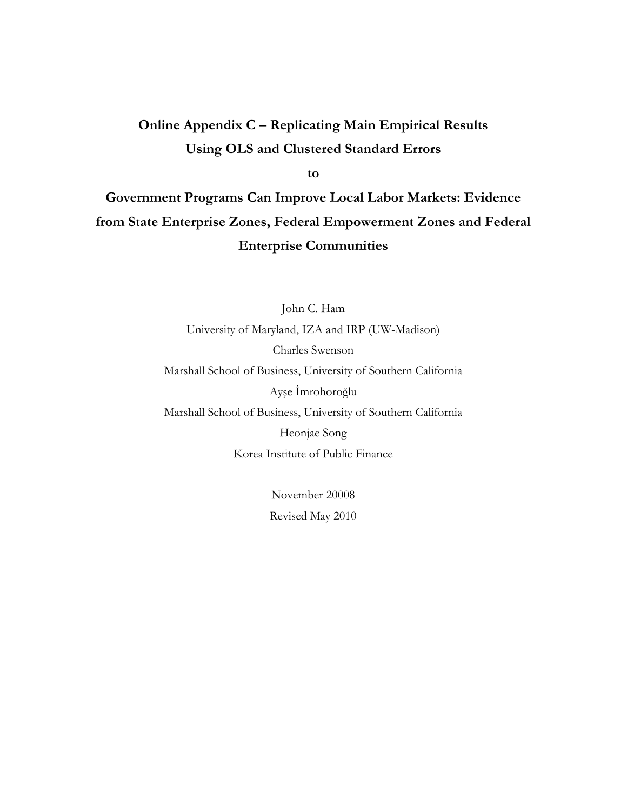# Online Appendix C - Replicating Main Empirical Results **Using OLS and Clustered Standard Errors**

to

Government Programs Can Improve Local Labor Markets: Evidence from State Enterprise Zones, Federal Empowerment Zones and Federal **Enterprise Communities** 

> John C. Ham University of Maryland, IZA and IRP (UW-Madison) Charles Swenson Marshall School of Business, University of Southern California Ayşe İmrohoroğlu Marshall School of Business, University of Southern California Heonjae Song Korea Institute of Public Finance

> > November 20008 Revised May 2010